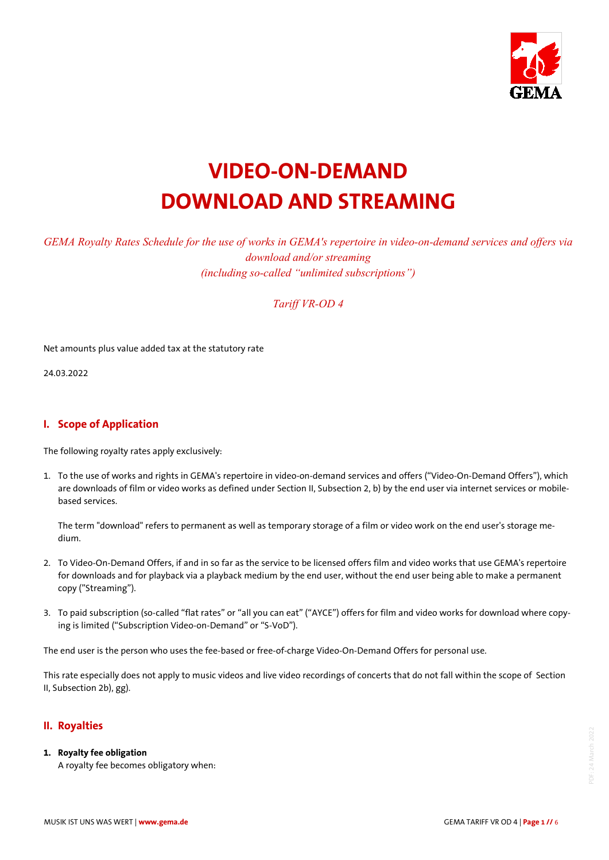

# **VIDEO-ON-DEMAND DOWNLOAD AND STREAMING**

*GEMA Royalty Rates Schedule for the use of works in GEMA's repertoire in video-on-demand services and offers via download and/or streaming (including so-called "unlimited subscriptions")* 

*Tariff VR-OD 4*

Net amounts plus value added tax at the statutory rate

24.03.2022

# **I. Scope of Application**

The following royalty rates apply exclusively:

1. To the use of works and rights in GEMA's repertoire in video-on-demand services and offers ("Video-On-Demand Offers"), which are downloads of film or video works as defined under Section II, Subsection 2, b) by the end user via internet services or mobilebased services.

The term "download" refers to permanent as well as temporary storage of a film or video work on the end user's storage medium.

- 2. To Video-On-Demand Offers, if and in so far as the service to be licensed offers film and video works that use GEMA's repertoire for downloads and for playback via a playback medium by the end user, without the end user being able to make a permanent copy ("Streaming").
- 3. To paid subscription (so-called "flat rates" or "all you can eat" ("AYCE") offers for film and video works for download where copying is limited ("Subscription Video-on-Demand" or "S-VoD").

The end user is the person who uses the fee-based or free-of-charge Video-On-Demand Offers for personal use.

This rate especially does not apply to music videos and live video recordings of concerts that do not fall within the scope of Section II, Subsection 2b), gg).

# **II. Royalties**

**1. Royalty fee obligation**  A royalty fee becomes obligatory when: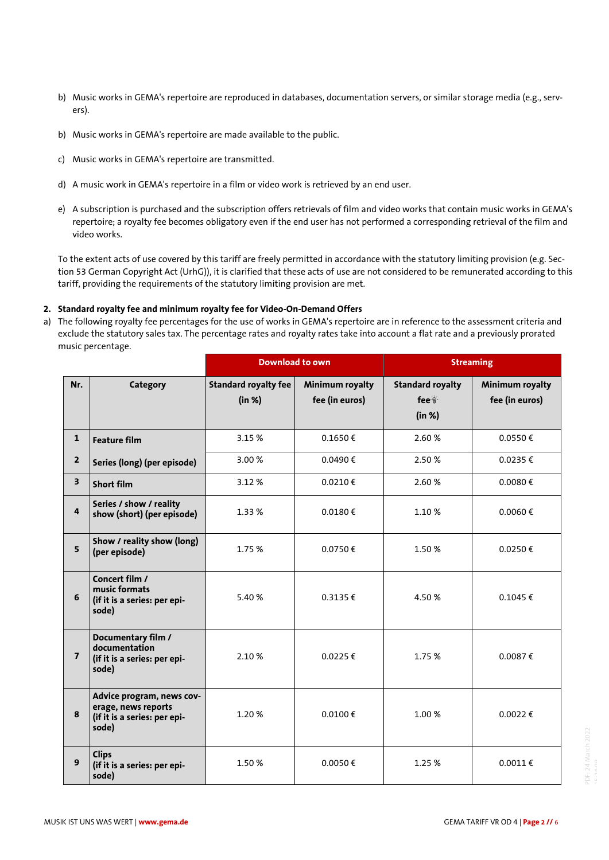- b) Music works in GEMA's repertoire are reproduced in databases, documentation servers, or similar storage media (e.g., servers).
- b) Music works in GEMA's repertoire are made available to the public.
- c) Music works in GEMA's repertoire are transmitted.
- d) A music work in GEMA's repertoire in a film or video work is retrieved by an end user.
- e) A subscription is purchased and the subscription offers retrievals of film and video works that contain music works in GEMA's repertoire; a royalty fee becomes obligatory even if the end user has not performed a corresponding retrieval of the film and video works.

To the extent acts of use covered by this tariff are freely permitted in accordance with the statutory limiting provision (e.g. Section 53 German Copyright Act (UrhG)), it is clarified that these acts of use are not considered to be remunerated according to this tariff, providing the requirements of the statutory limiting provision are met.

#### **2. Standard royalty fee and minimum royalty fee for Video-On-Demand Offers**

a) The following royalty fee percentages for the use of works in GEMA's repertoire are in reference to the assessment criteria and exclude the statutory sales tax. The percentage rates and royalty rates take into account a flat rate and a previously prorated music percentage.

|                         |                                                                                           | <b>Download to own</b>                |                                   | <b>Streaming</b>                                      |                                   |
|-------------------------|-------------------------------------------------------------------------------------------|---------------------------------------|-----------------------------------|-------------------------------------------------------|-----------------------------------|
| Nr.                     | Category                                                                                  | <b>Standard royalty fee</b><br>(in %) | Minimum royalty<br>fee (in euros) | <b>Standard royalty</b><br>fee <sup>s</sup><br>(in %) | Minimum royalty<br>fee (in euros) |
| $\mathbf{1}$            | <b>Feature film</b>                                                                       | 3.15%                                 | $0.1650 \in$                      | 2.60%                                                 | 0.0550€                           |
| $\overline{2}$          | Series (long) (per episode)                                                               | 3.00%                                 | 0.0490€                           | 2.50%                                                 | $0.0235 \in$                      |
| $\overline{\mathbf{3}}$ | <b>Short film</b>                                                                         | 3.12%                                 | 0.0210€                           | 2.60%                                                 | 0.0080€                           |
| 4                       | Series / show / reality<br>show (short) (per episode)                                     | 1.33%                                 | 0.0180€                           | 1.10%                                                 | $0.0060 \notin$                   |
| 5                       | Show / reality show (long)<br>(per episode)                                               | 1.75%                                 | $0.0750 \notin$                   | 1.50%                                                 | $0.0250 \in$                      |
| 6                       | Concert film /<br>music formats<br>(if it is a series: per epi-<br>sode)                  | 5.40%                                 | $0.3135 \in$                      | 4.50%                                                 | 0.1045€                           |
| $\overline{7}$          | Documentary film /<br>documentation<br>(if it is a series: per epi-<br>sode)              | 2.10%                                 | $0.0225 \in$                      | 1.75 %                                                | 0.0087€                           |
| 8                       | Advice program, news cov-<br>erage, news reports<br>(if it is a series: per epi-<br>sode) | 1.20%                                 | 0.0100 €                          | 1.00%                                                 | $0.0022 \notin$                   |
| 9                       | <b>Clips</b><br>(if it is a series: per epi-<br>sode)                                     | 1.50%                                 | $0.0050 \in$                      | 1.25 %                                                | $0.0011 \in$                      |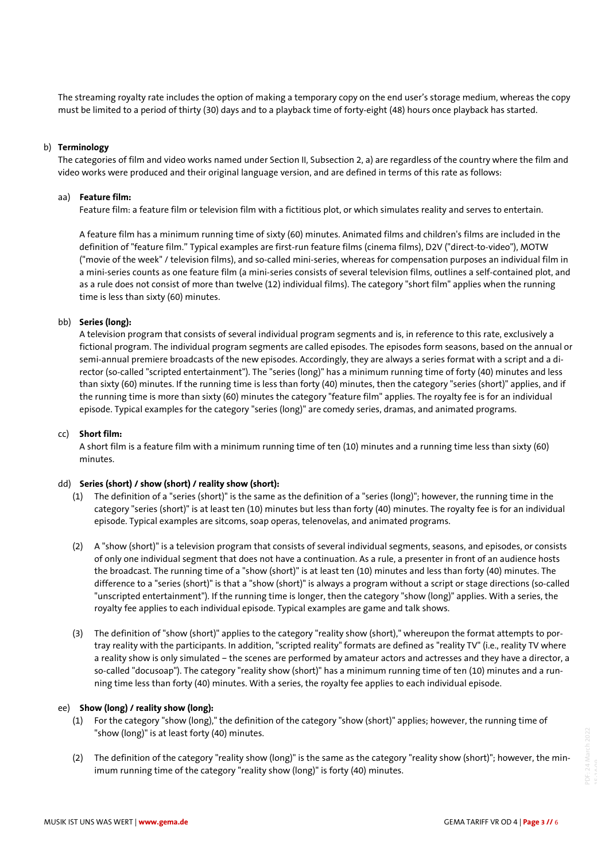The streaming royalty rate includes the option of making a temporary copy on the end user's storage medium, whereas the copy must be limited to a period of thirty (30) days and to a playback time of forty-eight (48) hours once playback has started.

### b) **Terminology**

The categories of film and video works named under Section II, Subsection 2, a) are regardless of the country where the film and video works were produced and their original language version, and are defined in terms of this rate as follows:

### aa) **Feature film:**

Feature film: a feature film or television film with a fictitious plot, or which simulates reality and serves to entertain.

A feature film has a minimum running time of sixty (60) minutes. Animated films and children's films are included in the definition of "feature film." Typical examples are first-run feature films (cinema films), D2V ("direct-to-video"), MOTW ("movie of the week" / television films), and so-called mini-series, whereas for compensation purposes an individual film in a mini-series counts as one feature film (a mini-series consists of several television films, outlines a self-contained plot, and as a rule does not consist of more than twelve (12) individual films). The category "short film" applies when the running time is less than sixty (60) minutes.

# bb) **Series (long):**

A television program that consists of several individual program segments and is, in reference to this rate, exclusively a fictional program. The individual program segments are called episodes. The episodes form seasons, based on the annual or semi-annual premiere broadcasts of the new episodes. Accordingly, they are always a series format with a script and a director (so-called "scripted entertainment"). The "series (long)" has a minimum running time of forty (40) minutes and less than sixty (60) minutes. If the running time is less than forty (40) minutes, then the category "series (short)" applies, and if the running time is more than sixty (60) minutes the category "feature film" applies. The royalty fee is for an individual episode. Typical examples for the category "series (long)" are comedy series, dramas, and animated programs.

#### cc) **Short film:**

A short film is a feature film with a minimum running time of ten (10) minutes and a running time less than sixty (60) minutes.

# dd) **Series (short) / show (short) / reality show (short):**

- (1) The definition of a "series (short)" is the same as the definition of a "series (long)"; however, the running time in the category "series (short)" is at least ten (10) minutes but less than forty (40) minutes. The royalty fee is for an individual episode. Typical examples are sitcoms, soap operas, telenovelas, and animated programs.
- (2) A "show (short)" is a television program that consists of several individual segments, seasons, and episodes, or consists of only one individual segment that does not have a continuation. As a rule, a presenter in front of an audience hosts the broadcast. The running time of a "show (short)" is at least ten (10) minutes and less than forty (40) minutes. The difference to a "series (short)" is that a "show (short)" is always a program without a script or stage directions (so-called "unscripted entertainment"). If the running time is longer, then the category "show (long)" applies. With a series, the royalty fee applies to each individual episode. Typical examples are game and talk shows.
- (3) The definition of "show (short)" applies to the category "reality show (short)," whereupon the format attempts to portray reality with the participants. In addition, "scripted reality" formats are defined as "reality TV" (i.e., reality TV where a reality show is only simulated – the scenes are performed by amateur actors and actresses and they have a director, a so-called "docusoap"). The category "reality show (short)" has a minimum running time of ten (10) minutes and a running time less than forty (40) minutes. With a series, the royalty fee applies to each individual episode.

## ee) **Show (long) / reality show (long):**

- (1) For the category "show (long)," the definition of the category "show (short)" applies; however, the running time of "show (long)" is at least forty (40) minutes.
- (2) The definition of the category "reality show (long)" is the same as the category "reality show (short)"; however, the minimum running time of the category "reality show (long)" is forty (40) minutes.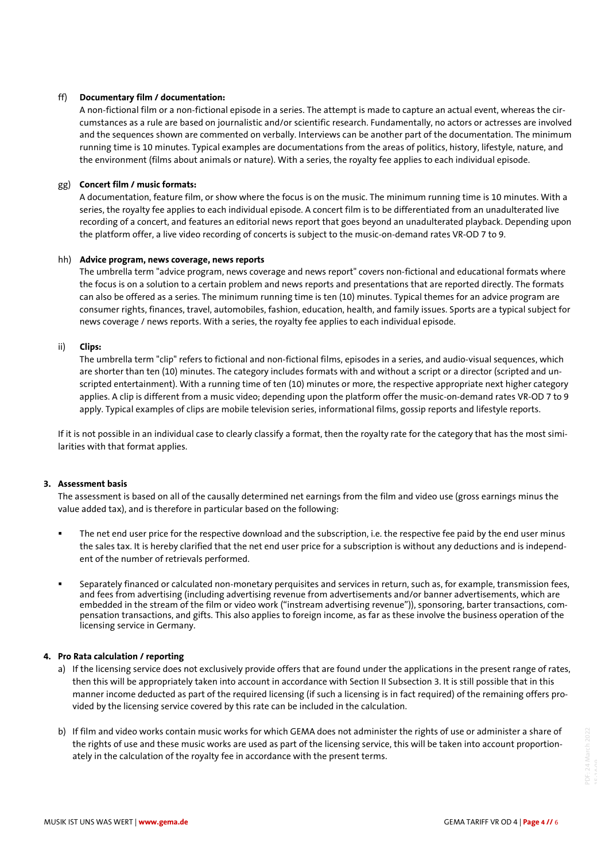### ff) **Documentary film / documentation:**

A non-fictional film or a non-fictional episode in a series. The attempt is made to capture an actual event, whereas the circumstances as a rule are based on journalistic and/or scientific research. Fundamentally, no actors or actresses are involved and the sequences shown are commented on verbally. Interviews can be another part of the documentation. The minimum running time is 10 minutes. Typical examples are documentations from the areas of politics, history, lifestyle, nature, and the environment (films about animals or nature). With a series, the royalty fee applies to each individual episode.

# gg) **Concert film / music formats:**

A documentation, feature film, or show where the focus is on the music. The minimum running time is 10 minutes. With a series, the royalty fee applies to each individual episode. A concert film is to be differentiated from an unadulterated live recording of a concert, and features an editorial news report that goes beyond an unadulterated playback. Depending upon the platform offer, a live video recording of concerts is subject to the music-on-demand rates VR-OD 7 to 9.

#### hh) **Advice program, news coverage, news reports**

The umbrella term "advice program, news coverage and news report" covers non-fictional and educational formats where the focus is on a solution to a certain problem and news reports and presentations that are reported directly. The formats can also be offered as a series. The minimum running time is ten (10) minutes. Typical themes for an advice program are consumer rights, finances, travel, automobiles, fashion, education, health, and family issues. Sports are a typical subject for news coverage / news reports. With a series, the royalty fee applies to each individual episode.

### ii) **Clips:**

The umbrella term "clip" refers to fictional and non-fictional films, episodes in a series, and audio-visual sequences, which are shorter than ten (10) minutes. The category includes formats with and without a script or a director (scripted and unscripted entertainment). With a running time of ten (10) minutes or more, the respective appropriate next higher category applies. A clip is different from a music video; depending upon the platform offer the music-on-demand rates VR-OD 7 to 9 apply. Typical examples of clips are mobile television series, informational films, gossip reports and lifestyle reports.

If it is not possible in an individual case to clearly classify a format, then the royalty rate for the category that has the most similarities with that format applies.

# **3. Assessment basis**

The assessment is based on all of the causally determined net earnings from the film and video use (gross earnings minus the value added tax), and is therefore in particular based on the following:

- The net end user price for the respective download and the subscription, i.e. the respective fee paid by the end user minus the sales tax. It is hereby clarified that the net end user price for a subscription is without any deductions and is independent of the number of retrievals performed.
- Separately financed or calculated non-monetary perquisites and services in return, such as, for example, transmission fees, and fees from advertising (including advertising revenue from advertisements and/or banner advertisements, which are embedded in the stream of the film or video work ("instream advertising revenue")), sponsoring, barter transactions, compensation transactions, and gifts. This also applies to foreign income, as far as these involve the business operation of the licensing service in Germany.

#### **4. Pro Rata calculation / reporting**

- a) If the licensing service does not exclusively provide offers that are found under the applications in the present range of rates, then this will be appropriately taken into account in accordance with Section II Subsection 3. It is still possible that in this manner income deducted as part of the required licensing (if such a licensing is in fact required) of the remaining offers provided by the licensing service covered by this rate can be included in the calculation.
- b) If film and video works contain music works for which GEMA does not administer the rights of use or administer a share of the rights of use and these music works are used as part of the licensing service, this will be taken into account proportionately in the calculation of the royalty fee in accordance with the present terms.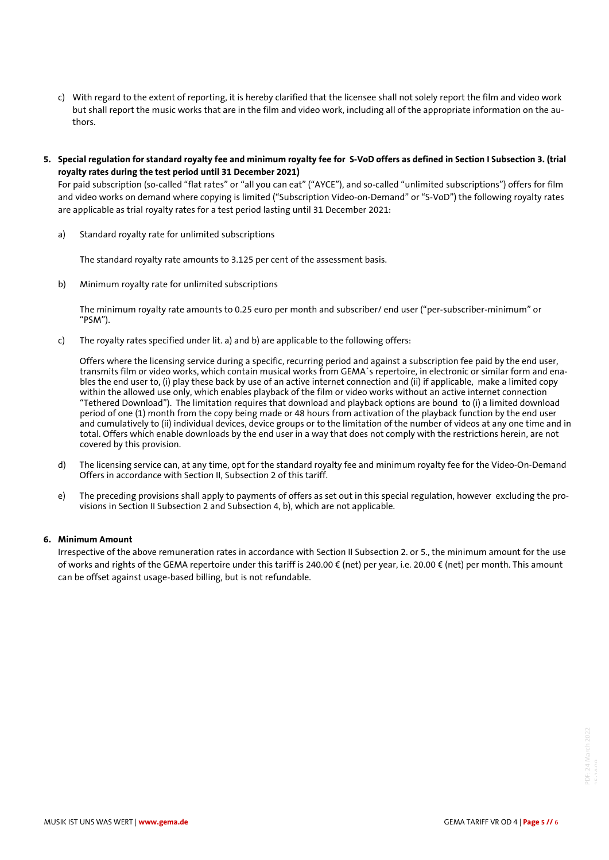- c) With regard to the extent of reporting, it is hereby clarified that the licensee shall not solely report the film and video work but shall report the music works that are in the film and video work, including all of the appropriate information on the authors.
- **5. Special regulation for standard royalty fee and minimum royalty fee for S-VoD offers as defined in Section I Subsection 3. (trial royalty rates during the test period until 31 December 2021)**

For paid subscription (so-called "flat rates" or "all you can eat" ("AYCE"), and so-called "unlimited subscriptions") offers for film and video works on demand where copying is limited ("Subscription Video-on-Demand" or "S-VoD") the following royalty rates are applicable as trial royalty rates for a test period lasting until 31 December 2021:

a) Standard royalty rate for unlimited subscriptions

The standard royalty rate amounts to 3.125 per cent of the assessment basis.

b) Minimum royalty rate for unlimited subscriptions

The minimum royalty rate amounts to 0.25 euro per month and subscriber/ end user ("per-subscriber-minimum" or "PSM").

c) The royalty rates specified under lit. a) and b) are applicable to the following offers:

Offers where the licensing service during a specific, recurring period and against a subscription fee paid by the end user, transmits film or video works, which contain musical works from GEMA´s repertoire, in electronic or similar form and enables the end user to, (i) play these back by use of an active internet connection and (ii) if applicable, make a limited copy within the allowed use only, which enables playback of the film or video works without an active internet connection "Tethered Download"). The limitation requires that download and playback options are bound to (i) a limited download period of one (1) month from the copy being made or 48 hours from activation of the playback function by the end user and cumulatively to (ii) individual devices, device groups or to the limitation of the number of videos at any one time and in total. Offers which enable downloads by the end user in a way that does not comply with the restrictions herein, are not covered by this provision.

- d) The licensing service can, at any time, opt for the standard royalty fee and minimum royalty fee for the Video-On-Demand Offers in accordance with Section II, Subsection 2 of this tariff.
- e) The preceding provisions shall apply to payments of offers as set out in this special regulation, however excluding the provisions in Section II Subsection 2 and Subsection 4, b), which are not applicable.

# **6. Minimum Amount**

Irrespective of the above remuneration rates in accordance with Section II Subsection 2. or 5., the minimum amount for the use of works and rights of the GEMA repertoire under this tariff is 240.00 € (net) per year, i.e. 20.00 € (net) per month. This amount can be offset against usage-based billing, but is not refundable.